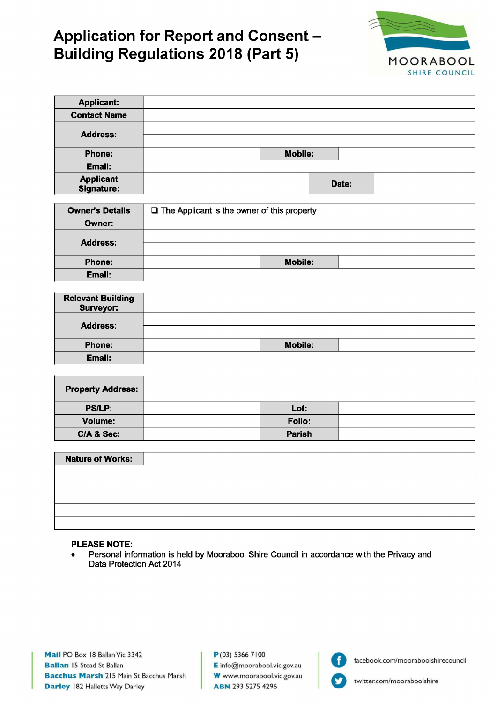# **Application for Report and Consent -Building Regulations 2018 (Part 5)**



| <b>Applicant:</b>              |                |       |  |
|--------------------------------|----------------|-------|--|
| <b>Contact Name</b>            |                |       |  |
| <b>Address:</b>                |                |       |  |
| Phone:                         | <b>Mobile:</b> |       |  |
| Email:                         |                |       |  |
| <b>Applicant</b><br>Signature: |                | Date: |  |

| <b>Owner's Details</b> | $\Box$ The Applicant is the owner of this property |                |  |
|------------------------|----------------------------------------------------|----------------|--|
| Owner:                 |                                                    |                |  |
| <b>Address:</b>        |                                                    |                |  |
|                        |                                                    |                |  |
| Phone:                 |                                                    | <b>Mobile:</b> |  |
| Email:                 |                                                    |                |  |

| <b>Relevant Building</b><br><b>Surveyor:</b> |                |  |
|----------------------------------------------|----------------|--|
| <b>Address:</b>                              |                |  |
| Phone:                                       | <b>Mobile:</b> |  |
| Email:                                       |                |  |

| <b>Property Address:</b> |               |  |
|--------------------------|---------------|--|
| <b>PS/LP:</b>            | Lot:          |  |
| <b>Volume:</b>           | <b>Folio:</b> |  |
| C/A & Sec:               | <b>Parish</b> |  |

| <b>Nature of Works:</b> |  |
|-------------------------|--|
|                         |  |
|                         |  |
|                         |  |
|                         |  |
|                         |  |

#### **PLEASE NOTE:**

Personal information is held by Moorabool Shire Council in accordance with the Privacy and  $\bullet$ Data Protection Act 2014

Mail PO Box 18 Ballan Vic 3342 **Ballan 15 Stead St Ballan Bacchus Marsh 215 Main St Bacchus Marsh Darley 182 Halletts Way Darley** 

 $P(03)$  5366 7100 E info@moorabool.vic.gov.au W www.moorabool.vic.gov.au **ABN 293 5275 4296** 



facebook.com/mooraboolshirecouncil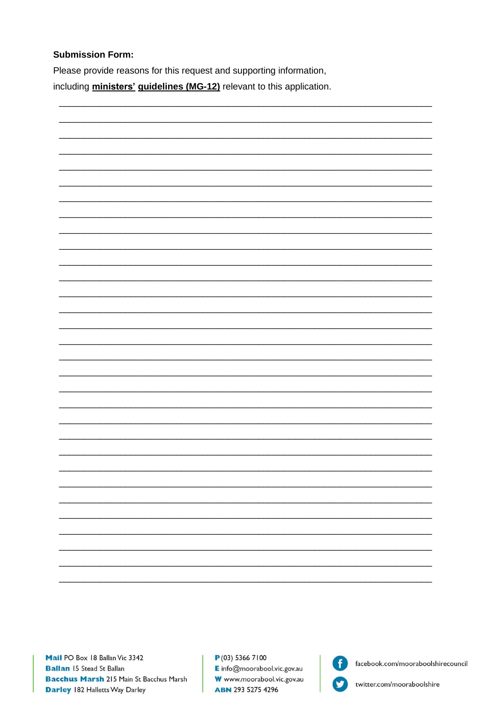## **Submission Form:**

Please provide reasons for this request and supporting information, including ministers' guidelines (MG-12) relevant to this application.



 $P(03)$  5366 7100 E info@moorabool.vic.gov.au W www.moorabool.vic.gov.au **ABN 293 5275 4296** 



facebook.com/mooraboolshirecouncil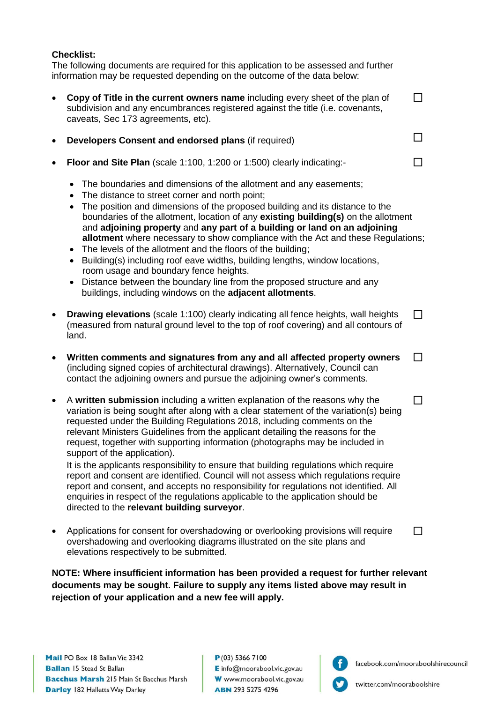## **Checklist:**

The following documents are required for this application to be assessed and further information may be requested depending on the outcome of the data below:

- **Copy of Title in the current owners name** including every sheet of the plan of subdivision and any encumbrances registered against the title (i.e. covenants, caveats, Sec 173 agreements, etc).  $\Box$
- **Developers Consent and endorsed plans** (if required)
- **Floor and Site Plan** (scale 1:100, 1:200 or 1:500) clearly indicating:-
	- The boundaries and dimensions of the allotment and any easements;
	- The distance to street corner and north point;
	- The position and dimensions of the proposed building and its distance to the boundaries of the allotment, location of any **existing building(s)** on the allotment and **adjoining property** and **any part of a building or land on an adjoining allotment** where necessary to show compliance with the Act and these Regulations;
	- The levels of the allotment and the floors of the building;
	- Building(s) including roof eave widths, building lengths, window locations, room usage and boundary fence heights.
	- Distance between the boundary line from the proposed structure and any buildings, including windows on the **adjacent allotments**.
- **Drawing elevations** (scale 1:100) clearly indicating all fence heights, wall heights (measured from natural ground level to the top of roof covering) and all contours of land.  $\Box$
- **Written comments and signatures from any and all affected property owners**  (including signed copies of architectural drawings). Alternatively, Council can contact the adjoining owners and pursue the adjoining owner's comments. П
- A **written submission** including a written explanation of the reasons why the variation is being sought after along with a clear statement of the variation(s) being requested under the Building Regulations 2018, including comments on the relevant Ministers Guidelines from the applicant detailing the reasons for the request, together with supporting information (photographs may be included in support of the application). П

It is the applicants responsibility to ensure that building regulations which require report and consent are identified. Council will not assess which regulations require report and consent, and accepts no responsibility for regulations not identified. All enquiries in respect of the regulations applicable to the application should be directed to the **relevant building surveyor**.

• Applications for consent for overshadowing or overlooking provisions will require overshadowing and overlooking diagrams illustrated on the site plans and elevations respectively to be submitted.

**NOTE: Where insufficient information has been provided a request for further relevant documents may be sought. Failure to supply any items listed above may result in rejection of your application and a new fee will apply.**



 $\Box$ 

П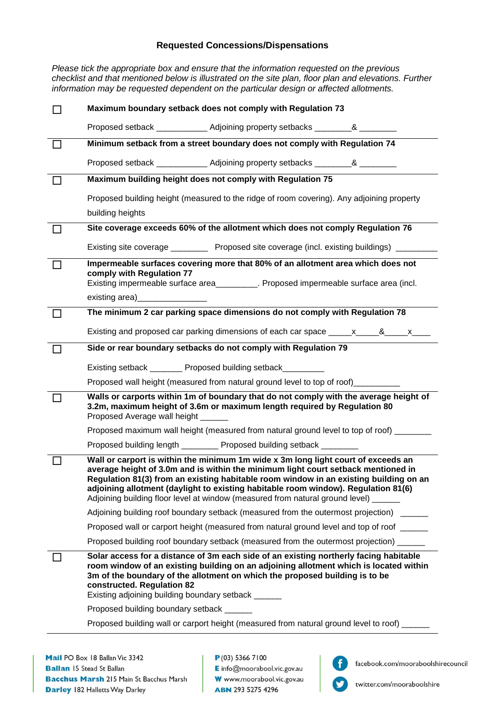### **Requested Concessions/Dispensations**

*Please tick the appropriate box and ensure that the information requested on the previous checklist and that mentioned below is illustrated on the site plan, floor plan and elevations. Further information may be requested dependent on the particular design or affected allotments.*

| Maximum boundary setback does not comply with Regulation 73                                                                                                                                                                                                                                                                                                                                                                                  |
|----------------------------------------------------------------------------------------------------------------------------------------------------------------------------------------------------------------------------------------------------------------------------------------------------------------------------------------------------------------------------------------------------------------------------------------------|
| Proposed setback ______________ Adjoining property setbacks __________& ________                                                                                                                                                                                                                                                                                                                                                             |
| Minimum setback from a street boundary does not comply with Regulation 74                                                                                                                                                                                                                                                                                                                                                                    |
| Proposed setback ______________ Adjoining property setbacks __________& _________                                                                                                                                                                                                                                                                                                                                                            |
| Maximum building height does not comply with Regulation 75                                                                                                                                                                                                                                                                                                                                                                                   |
| Proposed building height (measured to the ridge of room covering). Any adjoining property                                                                                                                                                                                                                                                                                                                                                    |
| building heights                                                                                                                                                                                                                                                                                                                                                                                                                             |
| Site coverage exceeds 60% of the allotment which does not comply Regulation 76                                                                                                                                                                                                                                                                                                                                                               |
| Existing site coverage ___________ Proposed site coverage (incl. existing buildings) _____                                                                                                                                                                                                                                                                                                                                                   |
| Impermeable surfaces covering more that 80% of an allotment area which does not<br>comply with Regulation 77<br>Existing impermeable surface area__________. Proposed impermeable surface area (incl.                                                                                                                                                                                                                                        |
| The minimum 2 car parking space dimensions do not comply with Regulation 78                                                                                                                                                                                                                                                                                                                                                                  |
| Existing and proposed car parking dimensions of each car space ______x_____&_____x___                                                                                                                                                                                                                                                                                                                                                        |
| Side or rear boundary setbacks do not comply with Regulation 79                                                                                                                                                                                                                                                                                                                                                                              |
| Existing setback _______ Proposed building setback_______                                                                                                                                                                                                                                                                                                                                                                                    |
| Proposed wall height (measured from natural ground level to top of roof)________                                                                                                                                                                                                                                                                                                                                                             |
| Walls or carports within 1m of boundary that do not comply with the average height of<br>3.2m, maximum height of 3.6m or maximum length required by Regulation 80<br>Proposed Average wall height _                                                                                                                                                                                                                                          |
| Proposed maximum wall height (measured from natural ground level to top of roof) ______                                                                                                                                                                                                                                                                                                                                                      |
| Proposed building length ________ Proposed building setback _______                                                                                                                                                                                                                                                                                                                                                                          |
| Wall or carport is within the minimum 1m wide x 3m long light court of exceeds an<br>average height of 3.0m and is within the minimum light court setback mentioned in<br>Regulation 81(3) from an existing habitable room window in an existing building on an<br>adjoining allotment (daylight to existing habitable room window). Regulation 81(6)<br>Adjoining building floor level at window (measured from natural ground level) _____ |
| Adjoining building roof boundary setback (measured from the outermost projection) ______                                                                                                                                                                                                                                                                                                                                                     |
| Proposed wall or carport height (measured from natural ground level and top of roof _____                                                                                                                                                                                                                                                                                                                                                    |
| Proposed building roof boundary setback (measured from the outermost projection) _____                                                                                                                                                                                                                                                                                                                                                       |
| Solar access for a distance of 3m each side of an existing northerly facing habitable<br>room window of an existing building on an adjoining allotment which is located within<br>3m of the boundary of the allotment on which the proposed building is to be<br>constructed. Regulation 82<br>Existing adjoining building boundary setback ______                                                                                           |
| Proposed building boundary setback ______                                                                                                                                                                                                                                                                                                                                                                                                    |
| Proposed building wall or carport height (measured from natural ground level to roof) ______                                                                                                                                                                                                                                                                                                                                                 |
|                                                                                                                                                                                                                                                                                                                                                                                                                                              |

 $P(03)$  5366 7100 E info@moorabool.vic.gov.au W www.moorabool.vic.gov.au **ABN 293 5275 4296**